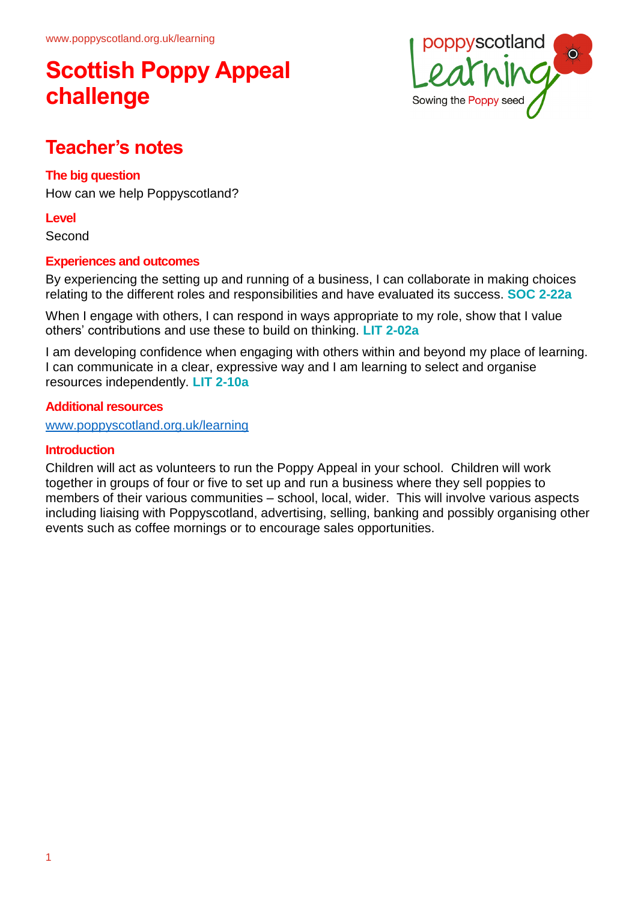# **Scottish Poppy Appeal challenge**



## **Teacher's notes**

### **The big question**

How can we help Poppyscotland?

#### **Level**

Second

### **Experiences and outcomes**

By experiencing the setting up and running of a business, I can collaborate in making choices relating to the different roles and responsibilities and have evaluated its success. **SOC 2-22a**

When I engage with others, I can respond in ways appropriate to my role, show that I value others' contributions and use these to build on thinking. **LIT 2-02a**

I am developing confidence when engaging with others within and beyond my place of learning. I can communicate in a clear, expressive way and I am learning to select and organise resources independently. **LIT 2-10a**

### **Additional resources**

www.poppyscotland.org.uk/learning

#### **Introduction**

Children will act as volunteers to run the Poppy Appeal in your school. Children will work together in groups of four or five to set up and run a business where they sell poppies to members of their various communities – school, local, wider. This will involve various aspects including liaising with Poppyscotland, advertising, selling, banking and possibly organising other events such as coffee mornings or to encourage sales opportunities.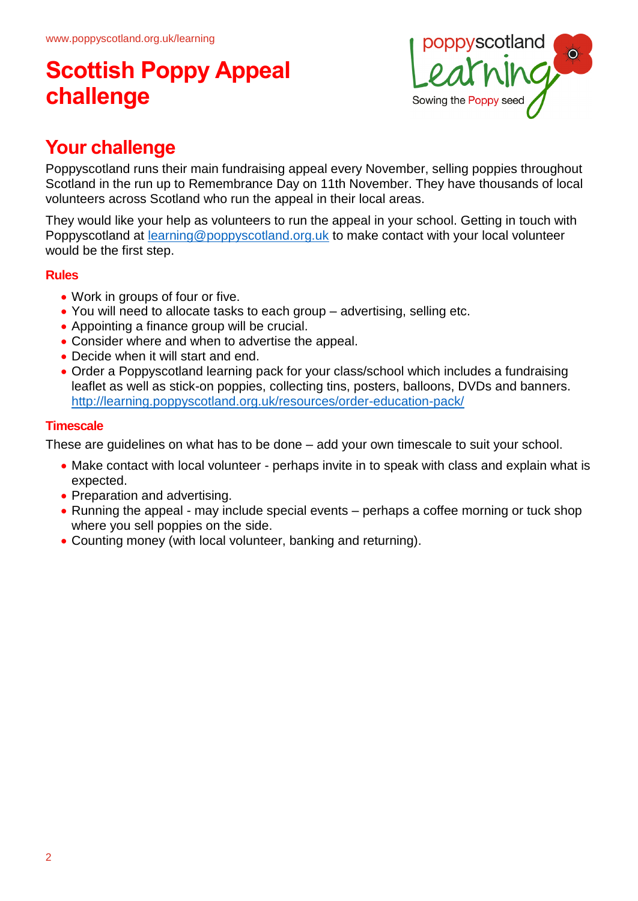# **Scottish Poppy Appeal challenge**



# **Your challenge**

Poppyscotland runs their main fundraising appeal every November, selling poppies throughout Scotland in the run up to Remembrance Day on 11th November. They have thousands of local volunteers across Scotland who run the appeal in their local areas.

They would like your help as volunteers to run the appeal in your school. Getting in touch with Poppyscotland at **[learning@poppyscotland.org.uk](mailto:learning@poppyscotland.org.uk)** to make contact with your local volunteer would be the first step.

### **Rules**

- Work in groups of four or five.
- You will need to allocate tasks to each group advertising, selling etc.
- Appointing a finance group will be crucial.
- Consider where and when to advertise the appeal.
- Decide when it will start and end.
- Order a Poppyscotland learning pack for your class/school which includes a fundraising leaflet as well as stick-on poppies, collecting tins, posters, balloons, DVDs and banners. <http://learning.poppyscotland.org.uk/resources/order-education-pack/>

## **Timescale**

These are guidelines on what has to be done – add your own timescale to suit your school.

- Make contact with local volunteer perhaps invite in to speak with class and explain what is expected.
- Preparation and advertising.
- Running the appeal may include special events perhaps a coffee morning or tuck shop where you sell poppies on the side.
- Counting money (with local volunteer, banking and returning).